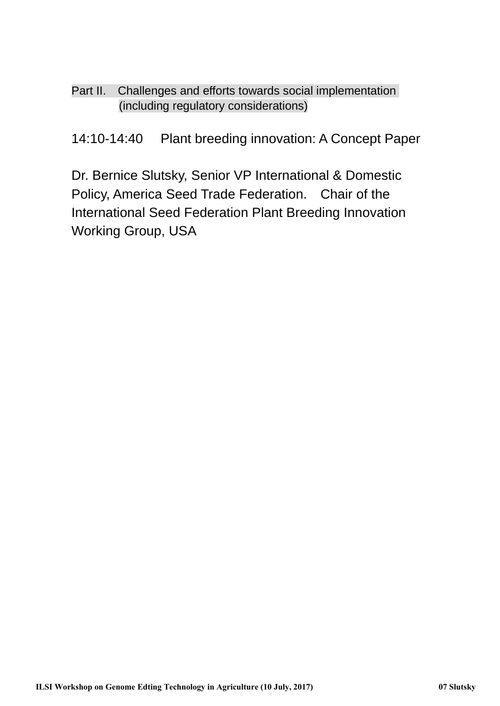Part II. Challenges and efforts towards social implementation (including regulatory considerations)

14:10-14:40 Plant breeding innovation: A Concept Paper

Dr. Bernice Slutsky, Senior VP International & Domestic Policy, America Seed Trade Federation. Chair of the International Seed Federation Plant Breeding Innovation Working Group, USA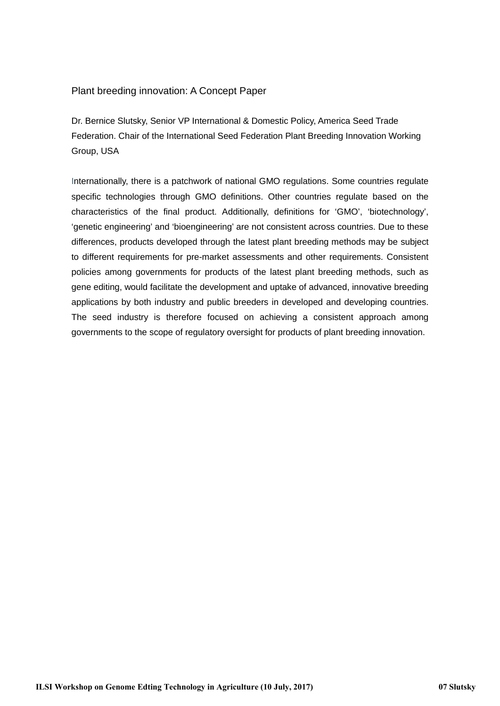#### Plant breeding innovation: A Concept Paper

Dr. Bernice Slutsky, Senior VP International & Domestic Policy, America Seed Trade Federation. Chair of the International Seed Federation Plant Breeding Innovation Working Group, USA

Internationally, there is a patchwork of national GMO regulations. Some countries regulate specific technologies through GMO definitions. Other countries regulate based on the characteristics of the final product. Additionally, definitions for 'GMO', 'biotechnology', 'genetic engineering' and 'bioengineering' are not consistent across countries. Due to these differences, products developed through the latest plant breeding methods may be subject to different requirements for pre-market assessments and other requirements. Consistent policies among governments for products of the latest plant breeding methods, such as gene editing, would facilitate the development and uptake of advanced, innovative breeding applications by both industry and public breeders in developed and developing countries. The seed industry is therefore focused on achieving a consistent approach among governments to the scope of regulatory oversight for products of plant breeding innovation.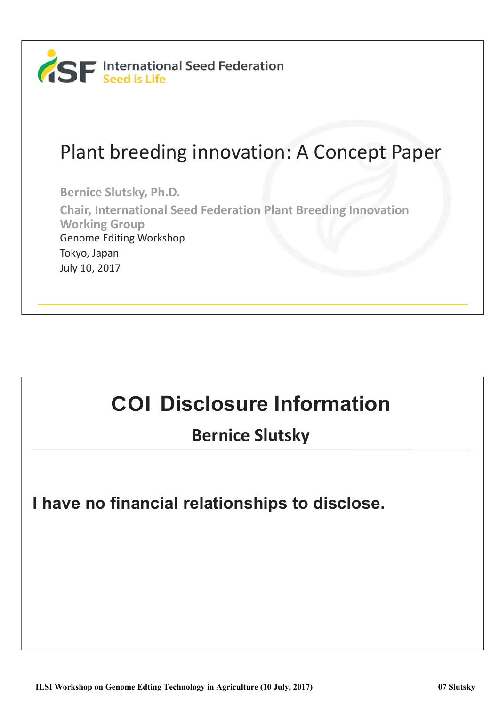

#### Plant breeding innovation: A Concept Paper

Bernice Slutsky, Ph.D.

**Chair, International Seed Federation Plant Breeding Innovation Working Group** Genome Editing Workshop Tokyo, Japan July 10, 2017

# **COI Disclosure Information**

**Bernice Slutsky** 

**I have no financial relationships to disclose.**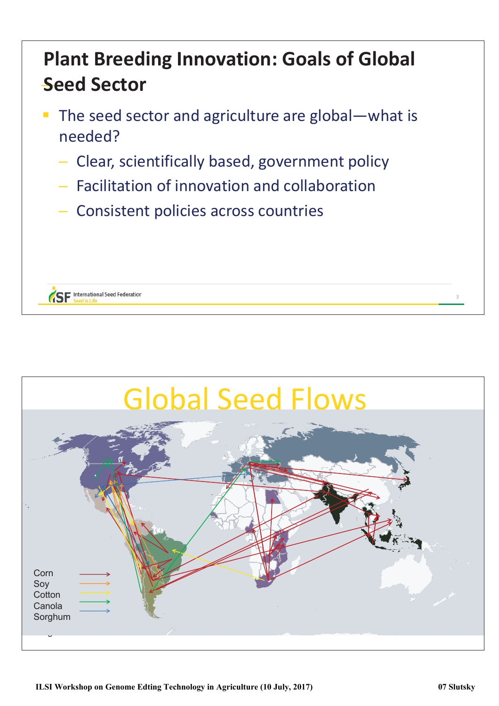## **Plant Breeding Innovation: Goals of Global Seed Sector**

- The seed sector and agriculture are global-what is  $\overline{\mathbb{R}}$ Shahaan
	- Clear, scientifically based, government policy
	- Facilitation of innovation and collaboration
	- Consistent policies across countries



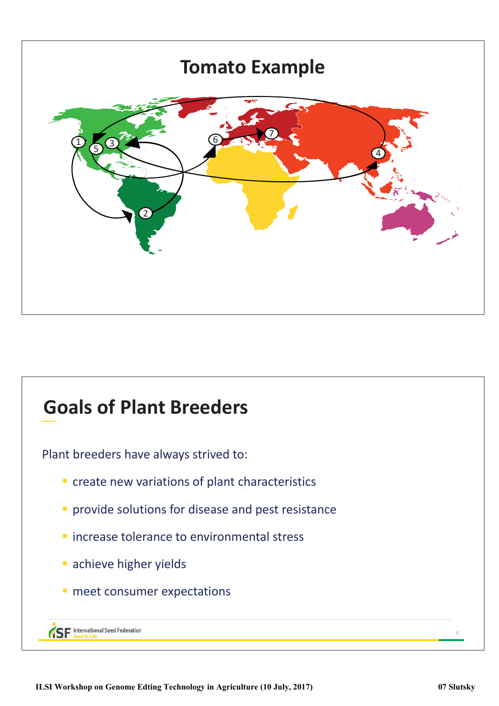

#### **Goals of Plant Breeders**

Plant breeders have always strived to:

- $\blacksquare$  create new variations of plant characteristics
- **v** provide solutions for disease and pest resistance
- $\blacksquare$  increase tolerance to environmental stress
- **achieve higher yields**
- meet consumer expectations

```
SF International Seed Federation
```
ϲ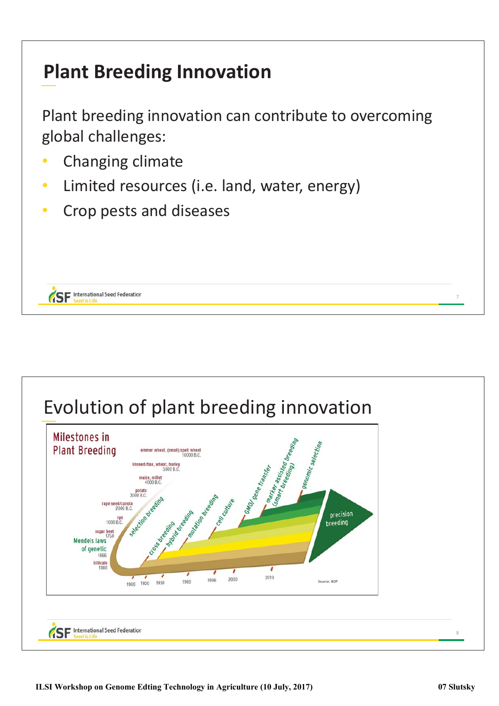### **Plant Breeding Innovation**

Plant breeding innovation can contribute to overcoming global challenges:

• Changing climate

**SE** International Seed Federation

- Limited resources (i.e. land, water, energy)
- Crop pests and diseases



ϳ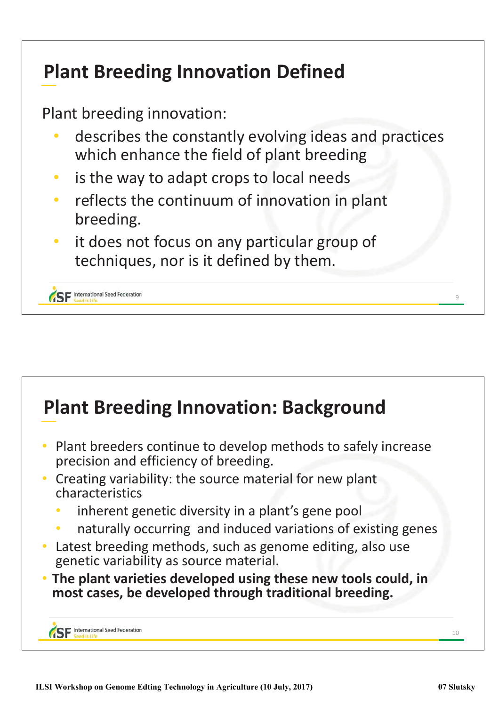### **Plant Breeding Innovation Defined**

Plant breeding innovation:

- describes the constantly evolving ideas and practices which enhance the field of plant breeding
- is the way to adapt crops to local needs
- reflects the continuum of innovation in plant breeding.
- it does not focus on any particular group of techniques, nor is it defined by them.

**SF** International Seed Federation

#### **Plant Breeding Innovation: Background** Plant breeders continue to develop methods to safely increase precision and efficiency of breeding. • Creating variability: the source material for new plant characteristics inherent genetic diversity in a plant's gene pool naturally occurring and induced variations of existing genes Latest breeding methods, such as genome editing, also use genetic variability as source material. The plant varieties developed using these new tools could, in most cases, be developed through traditional breeding. **SF** International Seed Federation 10

 $\circ$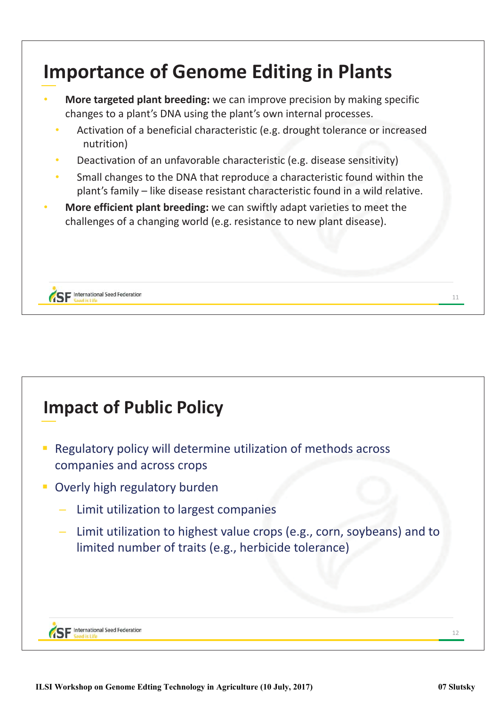

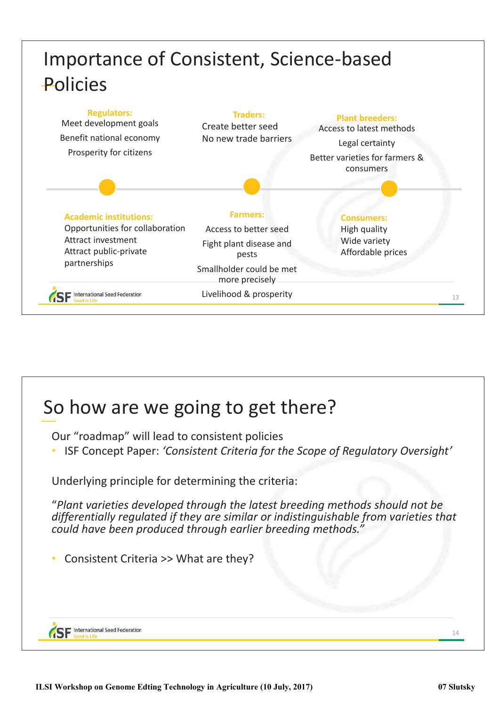

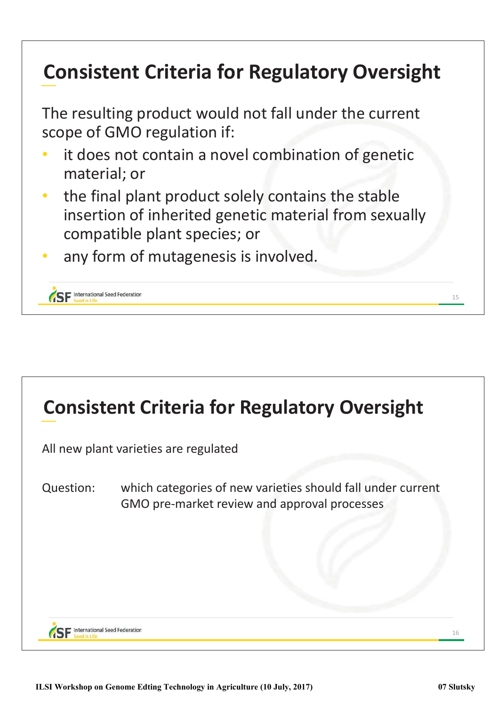## **Consistent Criteria for Regulatory Oversight**

The resulting product would not fall under the current scope of GMO regulation if:

- it does not contain a novel combination of genetic material; or
- the final plant product solely contains the stable insertion of inherited genetic material from sexually compatible plant species; or
- any form of mutagenesis is involved.

SE International Seed Federation



15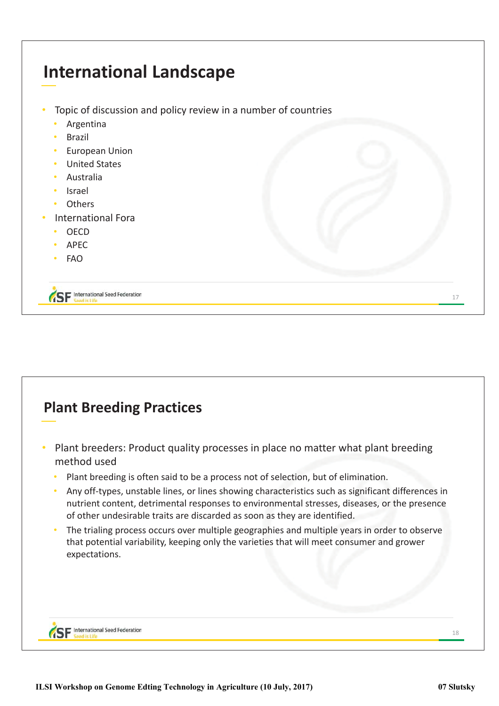

#### **Plant Breeding Practices** Plant breeders: Product quality processes in place no matter what plant breeding method used Plant breeding is often said to be a process not of selection, but of elimination. Any off-types, unstable lines, or lines showing characteristics such as significant differences in nutrient content, detrimental responses to environmental stresses, diseases, or the presence of other undesirable traits are discarded as soon as they are identified. The trialing process occurs over multiple geographies and multiple years in order to observe that potential variability, keeping only the varieties that will meet consumer and grower expectations. **SF** International Seed Federation 18